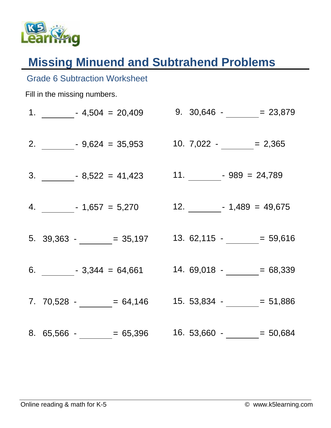

## **Missing Minuend and Subtrahend Problems**

## Grade 6 Subtraction Worksheet

## Fill in the missing numbers.

| 1. $4,504 = 20,409$ 9. 30,646 - $= 23,879$                           |  |
|----------------------------------------------------------------------|--|
| 2. $-9,624 = 35,953$ 10. $7,022 - 2,365$                             |  |
| 3. $\frac{\ }{2}$ - 8,522 = 41,423 11. $\frac{\ }{2}$ - 989 = 24,789 |  |
| 4. $-1,657 = 5,270$ 12. $-1,489 = 49,675$                            |  |
| 5. $39,363  = 35,197$ 13. $62,115  = 59,616$                         |  |
| 6. $-3,344 = 64,661$ 14. 69,018 - $-$ 68,339                         |  |
| 7. $70,528 - 64,146$ 15. $53,834 - 51,886$                           |  |
| 8. 65,566 - $= 65,396$ 16. 53,660 - $= 50,684$                       |  |